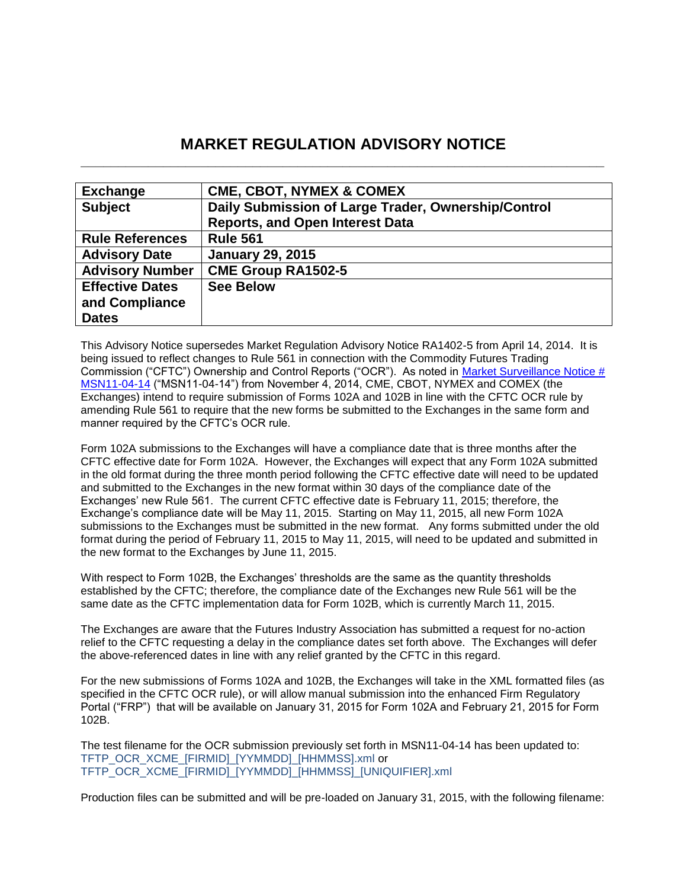# **MARKET REGULATION ADVISORY NOTICE \_\_\_\_\_\_\_\_\_\_\_\_\_\_\_\_\_\_\_\_\_\_\_\_\_\_\_\_\_\_\_\_\_\_\_\_\_\_\_\_\_\_\_\_\_\_\_\_\_\_\_\_\_\_\_\_\_\_\_\_\_\_\_\_\_\_\_\_\_\_**

| <b>Exchange</b>        | <b>CME, CBOT, NYMEX &amp; COMEX</b>                 |
|------------------------|-----------------------------------------------------|
| <b>Subject</b>         | Daily Submission of Large Trader, Ownership/Control |
|                        | <b>Reports, and Open Interest Data</b>              |
| <b>Rule References</b> | <b>Rule 561</b>                                     |
| <b>Advisory Date</b>   | <b>January 29, 2015</b>                             |
| <b>Advisory Number</b> | <b>CME Group RA1502-5</b>                           |
| <b>Effective Dates</b> | <b>See Below</b>                                    |
| and Compliance         |                                                     |
| <b>Dates</b>           |                                                     |

This Advisory Notice supersedes Market Regulation Advisory Notice RA1402-5 from April 14, 2014. It is being issued to reflect changes to Rule 561 in connection with the Commodity Futures Trading Commission ("CFTC") Ownership and Control Reports ("OCR"). As noted in [Market Surveillance Notice #](http://www.cmegroup.com/tools-information/lookups/advisories/market-regulation/market-surveillance/files/MSN11-4-14-OCR-Testing.pdf)  [MSN11-04-14](http://www.cmegroup.com/tools-information/lookups/advisories/market-regulation/market-surveillance/files/MSN11-4-14-OCR-Testing.pdf) ("MSN11-04-14") from November 4, 2014, CME, CBOT, NYMEX and COMEX (the Exchanges) intend to require submission of Forms 102A and 102B in line with the CFTC OCR rule by amending Rule 561 to require that the new forms be submitted to the Exchanges in the same form and manner required by the CFTC's OCR rule.

Form 102A submissions to the Exchanges will have a compliance date that is three months after the CFTC effective date for Form 102A. However, the Exchanges will expect that any Form 102A submitted in the old format during the three month period following the CFTC effective date will need to be updated and submitted to the Exchanges in the new format within 30 days of the compliance date of the Exchanges' new Rule 561. The current CFTC effective date is February 11, 2015; therefore, the Exchange's compliance date will be May 11, 2015. Starting on May 11, 2015, all new Form 102A submissions to the Exchanges must be submitted in the new format. Any forms submitted under the old format during the period of February 11, 2015 to May 11, 2015, will need to be updated and submitted in the new format to the Exchanges by June 11, 2015.

With respect to Form 102B, the Exchanges' thresholds are the same as the quantity thresholds established by the CFTC; therefore, the compliance date of the Exchanges new Rule 561 will be the same date as the CFTC implementation data for Form 102B, which is currently March 11, 2015.

The Exchanges are aware that the Futures Industry Association has submitted a request for no-action relief to the CFTC requesting a delay in the compliance dates set forth above. The Exchanges will defer the above-referenced dates in line with any relief granted by the CFTC in this regard.

For the new submissions of Forms 102A and 102B, the Exchanges will take in the XML formatted files (as specified in the CFTC OCR rule), or will allow manual submission into the enhanced Firm Regulatory Portal ("FRP") that will be available on January 31, 2015 for Form 102A and February 21, 2015 for Form 102B.

The test filename for the OCR submission previously set forth in MSN11-04-14 has been updated to: TFTP\_OCR\_XCME\_[FIRMID]\_[YYMMDD]\_[HHMMSS].xml or TFTP\_OCR\_XCME\_[FIRMID]\_[YYMMDD]\_[HHMMSS]\_[UNIQUIFIER].xml

Production files can be submitted and will be pre-loaded on January 31, 2015, with the following filename: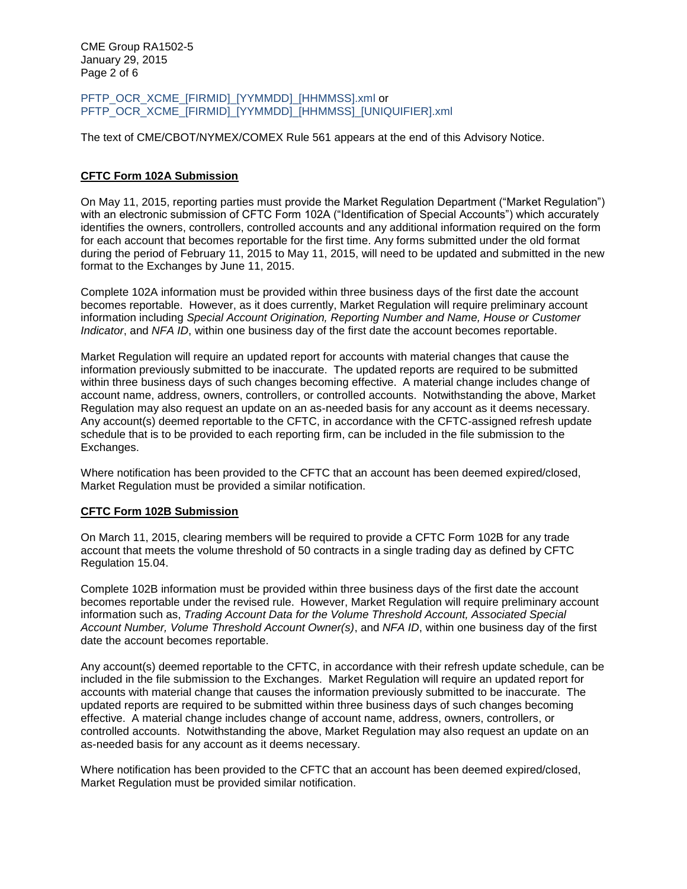CME Group RA1502-5 January 29, 2015 Page 2 of 6

PFTP\_OCR\_XCME\_[FIRMID]\_[YYMMDD]\_[HHMMSS].xml or PFTP\_OCR\_XCME\_[FIRMID]\_[YYMMDD]\_[HHMMSS]\_[UNIQUIFIER].xml

The text of CME/CBOT/NYMEX/COMEX Rule 561 appears at the end of this Advisory Notice.

# **CFTC Form 102A Submission**

On May 11, 2015, reporting parties must provide the Market Regulation Department ("Market Regulation") with an electronic submission of CFTC Form 102A ("Identification of Special Accounts") which accurately identifies the owners, controllers, controlled accounts and any additional information required on the form for each account that becomes reportable for the first time. Any forms submitted under the old format during the period of February 11, 2015 to May 11, 2015, will need to be updated and submitted in the new format to the Exchanges by June 11, 2015.

Complete 102A information must be provided within three business days of the first date the account becomes reportable. However, as it does currently, Market Regulation will require preliminary account information including *Special Account Origination, Reporting Number and Name, House or Customer Indicator*, and *NFA ID*, within one business day of the first date the account becomes reportable.

Market Regulation will require an updated report for accounts with material changes that cause the information previously submitted to be inaccurate. The updated reports are required to be submitted within three business days of such changes becoming effective. A material change includes change of account name, address, owners, controllers, or controlled accounts. Notwithstanding the above, Market Regulation may also request an update on an as-needed basis for any account as it deems necessary. Any account(s) deemed reportable to the CFTC, in accordance with the CFTC-assigned refresh update schedule that is to be provided to each reporting firm, can be included in the file submission to the Exchanges.

Where notification has been provided to the CFTC that an account has been deemed expired/closed, Market Regulation must be provided a similar notification.

## **CFTC Form 102B Submission**

On March 11, 2015, clearing members will be required to provide a CFTC Form 102B for any trade account that meets the volume threshold of 50 contracts in a single trading day as defined by CFTC Regulation 15.04.

Complete 102B information must be provided within three business days of the first date the account becomes reportable under the revised rule. However, Market Regulation will require preliminary account information such as, *Trading Account Data for the Volume Threshold Account, Associated Special Account Number, Volume Threshold Account Owner(s)*, and *NFA ID*, within one business day of the first date the account becomes reportable.

Any account(s) deemed reportable to the CFTC, in accordance with their refresh update schedule, can be included in the file submission to the Exchanges. Market Regulation will require an updated report for accounts with material change that causes the information previously submitted to be inaccurate. The updated reports are required to be submitted within three business days of such changes becoming effective. A material change includes change of account name, address, owners, controllers, or controlled accounts. Notwithstanding the above, Market Regulation may also request an update on an as-needed basis for any account as it deems necessary.

Where notification has been provided to the CFTC that an account has been deemed expired/closed, Market Regulation must be provided similar notification.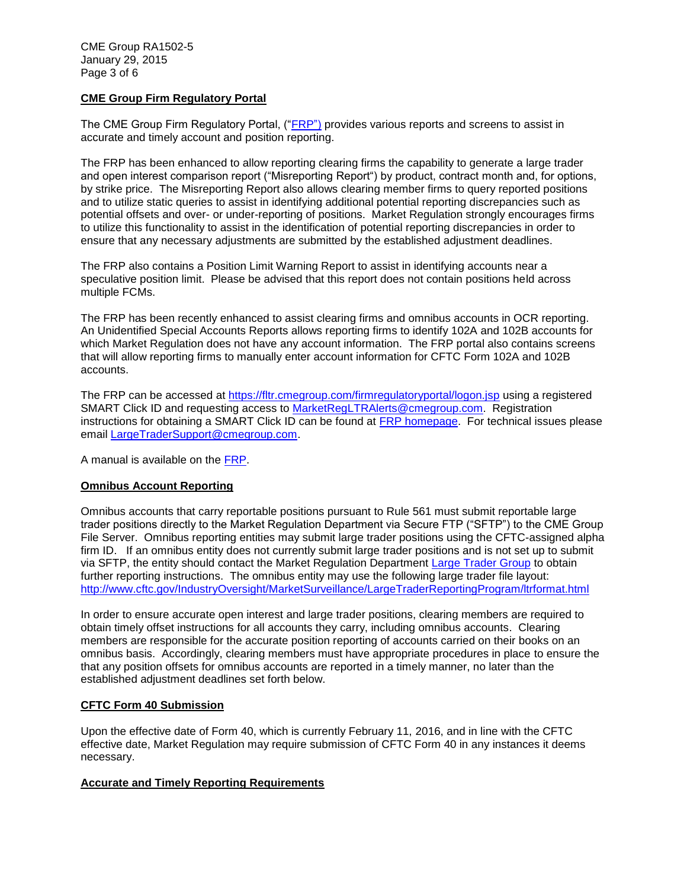# **CME Group Firm Regulatory Portal**

The CME Group Firm Regulatory Portal, (["FRP"](https://fltr.cmegroup.com/firmregulatoryportal/logon.jsp)) provides various reports and screens to assist in accurate and timely account and position reporting.

The FRP has been enhanced to allow reporting clearing firms the capability to generate a large trader and open interest comparison report ("Misreporting Report") by product, contract month and, for options, by strike price. The Misreporting Report also allows clearing member firms to query reported positions and to utilize static queries to assist in identifying additional potential reporting discrepancies such as potential offsets and over- or under-reporting of positions. Market Regulation strongly encourages firms to utilize this functionality to assist in the identification of potential reporting discrepancies in order to ensure that any necessary adjustments are submitted by the established adjustment deadlines.

The FRP also contains a Position Limit Warning Report to assist in identifying accounts near a speculative position limit. Please be advised that this report does not contain positions held across multiple FCMs.

The FRP has been recently enhanced to assist clearing firms and omnibus accounts in OCR reporting. An Unidentified Special Accounts Reports allows reporting firms to identify 102A and 102B accounts for which Market Regulation does not have any account information. The FRP portal also contains screens that will allow reporting firms to manually enter account information for CFTC Form 102A and 102B accounts.

The FRP can be accessed at<https://fltr.cmegroup.com/firmregulatoryportal/logon.jsp> using a registered SMART Click ID and requesting access to [MarketRegLTRAlerts@cmegroup.com.](mailto:MarketRegLTRAlerts@cmegroup.com) Registration instructions for obtaining a SMART Click ID can be found at [FRP homepage.](https://fltr.cmegroup.com/firmregulatoryportal/logon.jsp) For technical issues please email [LargeTraderSupport@cmegroup.com.](mailto:LargeTraderSupport@cmegroup.com)

A manual is available on the [FRP.](https://fltr.cmegroup.com/firmregulatoryportal/logon.jsp)

## **Omnibus Account Reporting**

Omnibus accounts that carry reportable positions pursuant to Rule 561 must submit reportable large trader positions directly to the Market Regulation Department via Secure FTP ("SFTP") to the CME Group File Server. Omnibus reporting entities may submit large trader positions using the CFTC-assigned alpha firm ID. If an omnibus entity does not currently submit large trader positions and is not set up to submit via SFTP, the entity should contact the Market Regulation Department [Large Trader Group](mailto:MarketReglLTRAlerts@cmegroup.com) to obtain further reporting instructions. The omnibus entity may use the following large trader file layout: <http://www.cftc.gov/IndustryOversight/MarketSurveillance/LargeTraderReportingProgram/ltrformat.html>

In order to ensure accurate open interest and large trader positions, clearing members are required to obtain timely offset instructions for all accounts they carry, including omnibus accounts. Clearing members are responsible for the accurate position reporting of accounts carried on their books on an omnibus basis. Accordingly, clearing members must have appropriate procedures in place to ensure the that any position offsets for omnibus accounts are reported in a timely manner, no later than the established adjustment deadlines set forth below.

## **CFTC Form 40 Submission**

Upon the effective date of Form 40, which is currently February 11, 2016, and in line with the CFTC effective date, Market Regulation may require submission of CFTC Form 40 in any instances it deems necessary.

## **Accurate and Timely Reporting Requirements**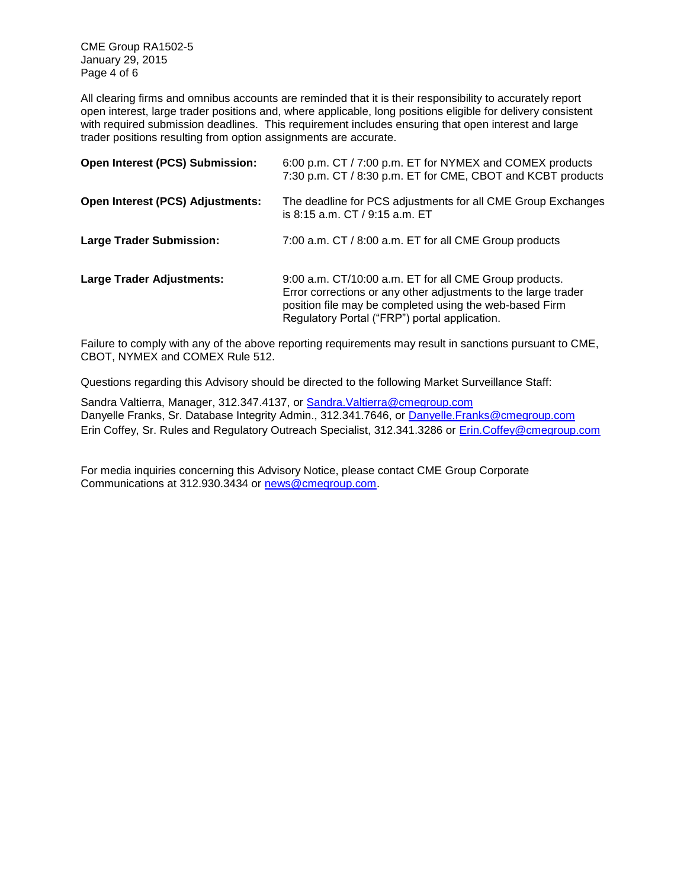CME Group RA1502-5 January 29, 2015 Page 4 of 6

All clearing firms and omnibus accounts are reminded that it is their responsibility to accurately report open interest, large trader positions and, where applicable, long positions eligible for delivery consistent with required submission deadlines. This requirement includes ensuring that open interest and large trader positions resulting from option assignments are accurate.

| Open Interest (PCS) Submission:  | 6:00 p.m. CT / 7:00 p.m. ET for NYMEX and COMEX products<br>7:30 p.m. CT / 8:30 p.m. ET for CME, CBOT and KCBT products                                                                                                              |
|----------------------------------|--------------------------------------------------------------------------------------------------------------------------------------------------------------------------------------------------------------------------------------|
| Open Interest (PCS) Adjustments: | The deadline for PCS adjustments for all CME Group Exchanges<br>is 8:15 a.m. CT / 9:15 a.m. ET                                                                                                                                       |
| <b>Large Trader Submission:</b>  | 7:00 a.m. CT / 8:00 a.m. ET for all CME Group products                                                                                                                                                                               |
| <b>Large Trader Adjustments:</b> | 9:00 a.m. CT/10:00 a.m. ET for all CME Group products.<br>Error corrections or any other adjustments to the large trader<br>position file may be completed using the web-based Firm<br>Regulatory Portal ("FRP") portal application. |

Failure to comply with any of the above reporting requirements may result in sanctions pursuant to CME, CBOT, NYMEX and COMEX Rule 512.

Questions regarding this Advisory should be directed to the following Market Surveillance Staff:

Sandra Valtierra, Manager, 312.347.4137, or [Sandra.Valtierra@cmegroup.com](mailto:Sandra.Valtierra@cmegroup.com) Danyelle Franks, Sr. Database Integrity Admin., 312.341.7646, or [Danyelle.Franks@cmegroup.com](mailto:Danyelle.Franks@cmegroup.com) Erin Coffey, Sr. Rules and Regulatory Outreach Specialist, 312.341.3286 or [Erin.Coffey@cmegroup.com](mailto:Erin.Coffey@cmegroup.com)

For media inquiries concerning this Advisory Notice, please contact CME Group Corporate Communications at 312.930.3434 or [news@cmegroup.com.](mailto:news@cmegroup.com)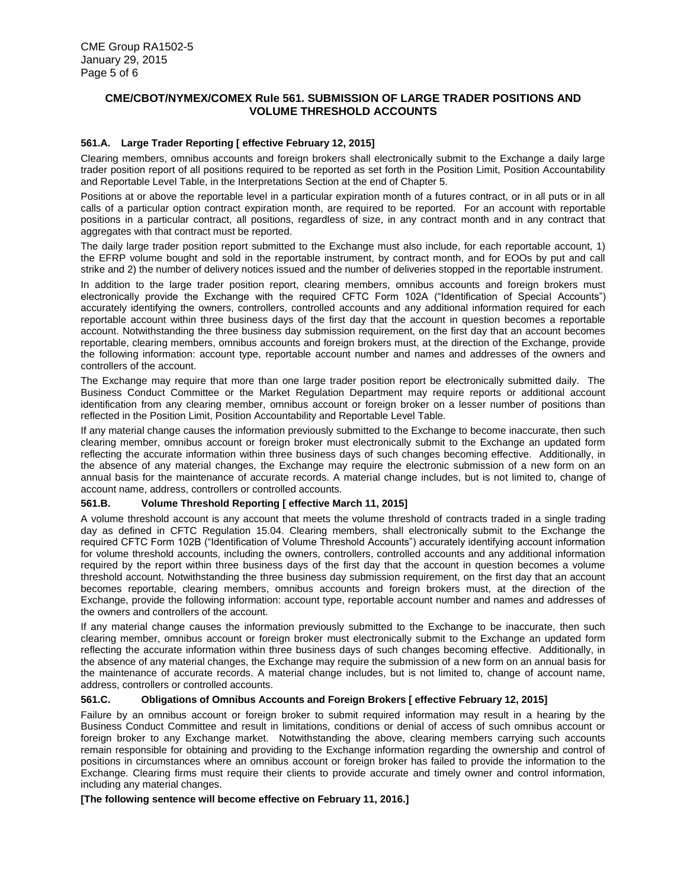## **CME/CBOT/NYMEX/COMEX Rule 561. SUBMISSION OF LARGE TRADER POSITIONS AND VOLUME THRESHOLD ACCOUNTS**

#### *<sup>1</sup>***561.A. Large Trader Reporting [ effective February 12, 2015]**

Clearing members, omnibus accounts and foreign brokers shall electronically submit to the Exchange a daily large trader position report of all positions required to be reported as set forth in the Position Limit, Position Accountability and Reportable Level Table, in the Interpretations Section at the end of Chapter 5.

Positions at or above the reportable level in a particular expiration month of a futures contract, or in all puts or in all calls of a particular option contract expiration month, are required to be reported. For an account with reportable positions in a particular contract, all positions, regardless of size, in any contract month and in any contract that aggregates with that contract must be reported.

The daily large trader position report submitted to the Exchange must also include, for each reportable account, 1) the EFRP volume bought and sold in the reportable instrument, by contract month, and for EOOs by put and call strike and 2) the number of delivery notices issued and the number of deliveries stopped in the reportable instrument.

In addition to the large trader position report, clearing members, omnibus accounts and foreign brokers must electronically provide the Exchange with the required CFTC Form 102A ("Identification of Special Accounts") accurately identifying the owners, controllers, controlled accounts and any additional information required for each reportable account within three business days of the first day that the account in question becomes a reportable account. Notwithstanding the three business day submission requirement, on the first day that an account becomes reportable, clearing members, omnibus accounts and foreign brokers must, at the direction of the Exchange, provide the following information: account type, reportable account number and names and addresses of the owners and controllers of the account.

The Exchange may require that more than one large trader position report be electronically submitted daily. The Business Conduct Committee or the Market Regulation Department may require reports or additional account identification from any clearing member, omnibus account or foreign broker on a lesser number of positions than reflected in the Position Limit, Position Accountability and Reportable Level Table.

If any material change causes the information previously submitted to the Exchange to become inaccurate, then such clearing member, omnibus account or foreign broker must electronically submit to the Exchange an updated form reflecting the accurate information within three business days of such changes becoming effective. Additionally, in the absence of any material changes, the Exchange may require the electronic submission of a new form on an annual basis for the maintenance of accurate records. A material change includes, but is not limited to, change of account name, address, controllers or controlled accounts.

#### **561.B. Volume Threshold Reporting [ effective March 11, 2015]**

A volume threshold account is any account that meets the volume threshold of contracts traded in a single trading day as defined in CFTC Regulation 15.04. Clearing members, shall electronically submit to the Exchange the required CFTC Form 102B ("Identification of Volume Threshold Accounts") accurately identifying account information for volume threshold accounts, including the owners, controllers, controlled accounts and any additional information required by the report within three business days of the first day that the account in question becomes a volume threshold account. Notwithstanding the three business day submission requirement, on the first day that an account becomes reportable, clearing members, omnibus accounts and foreign brokers must, at the direction of the Exchange, provide the following information: account type, reportable account number and names and addresses of the owners and controllers of the account.

If any material change causes the information previously submitted to the Exchange to be inaccurate, then such clearing member, omnibus account or foreign broker must electronically submit to the Exchange an updated form reflecting the accurate information within three business days of such changes becoming effective. Additionally, in the absence of any material changes, the Exchange may require the submission of a new form on an annual basis for the maintenance of accurate records. A material change includes, but is not limited to, change of account name, address, controllers or controlled accounts.

#### **561.C. Obligations of Omnibus Accounts and Foreign Brokers [ effective February 12, 2015]**

Failure by an omnibus account or foreign broker to submit required information may result in a hearing by the Business Conduct Committee and result in limitations, conditions or denial of access of such omnibus account or foreign broker to any Exchange market. Notwithstanding the above, clearing members carrying such accounts remain responsible for obtaining and providing to the Exchange information regarding the ownership and control of positions in circumstances where an omnibus account or foreign broker has failed to provide the information to the Exchange. Clearing firms must require their clients to provide accurate and timely owner and control information, including any material changes.

#### **[The following sentence will become effective on February 11, 2016.]**